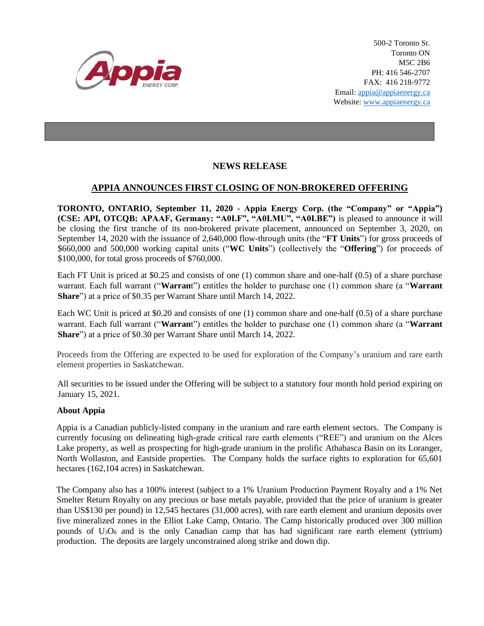

500-2 Toronto St. Toronto ON M5C 2B6 PH: 416 546-2707 FAX: 416 218-9772 Email: appia@appiaenergy.ca Website: www.appiaenergy.ca

## **NEWS RELEASE**

## **APPIA ANNOUNCES FIRST CLOSING OF NON-BROKERED OFFERING**

**TORONTO, ONTARIO, September 11, 2020 - Appia Energy Corp. (the "Company" or "Appia") (CSE: API, OTCQB: APAAF, Germany: "A0I.F", "A0I.MU", "A0I.BE")** is pleased to announce it will be closing the first tranche of its non-brokered private placement, announced on September 3, 2020, on September 14, 2020 with the issuance of 2,640,000 flow-through units (the "**FT Units**") for gross proceeds of \$660,000 and 500,000 working capital units ("**WC Units**") (collectively the "**Offering**") for proceeds of \$100,000, for total gross proceeds of \$760,000.

Each FT Unit is priced at \$0.25 and consists of one (1) common share and one-half (0.5) of a share purchase warrant. Each full warrant ("**Warran**t") entitles the holder to purchase one (1) common share (a "**Warrant Share**") at a price of \$0.35 per Warrant Share until March 14, 2022.

Each WC Unit is priced at \$0.20 and consists of one (1) common share and one-half (0.5) of a share purchase warrant. Each full warrant ("**Warran**t") entitles the holder to purchase one (1) common share (a "**Warrant Share**") at a price of \$0.30 per Warrant Share until March 14, 2022.

Proceeds from the Offering are expected to be used for exploration of the Company's uranium and rare earth element properties in Saskatchewan.

All securities to be issued under the Offering will be subject to a statutory four month hold period expiring on January 15, 2021.

## **About Appia**

Appia is a Canadian publicly-listed company in the uranium and rare earth element sectors. The Company is currently focusing on delineating high-grade critical rare earth elements ("REE") and uranium on the Alces Lake property, as well as prospecting for high-grade uranium in the prolific Athabasca Basin on its Loranger, North Wollaston, and Eastside properties. The Company holds the surface rights to exploration for 65,601 hectares (162,104 acres) in Saskatchewan.

The Company also has a 100% interest (subject to a 1% Uranium Production Payment Royalty and a 1% Net Smelter Return Royalty on any precious or base metals payable, provided that the price of uranium is greater than US\$130 per pound) in 12,545 hectares (31,000 acres), with rare earth element and uranium deposits over five mineralized zones in the Elliot Lake Camp, Ontario. The Camp historically produced over 300 million pounds of  $U_3O_8$  and is the only Canadian camp that has had significant rare earth element (yttrium) production. The deposits are largely unconstrained along strike and down dip.